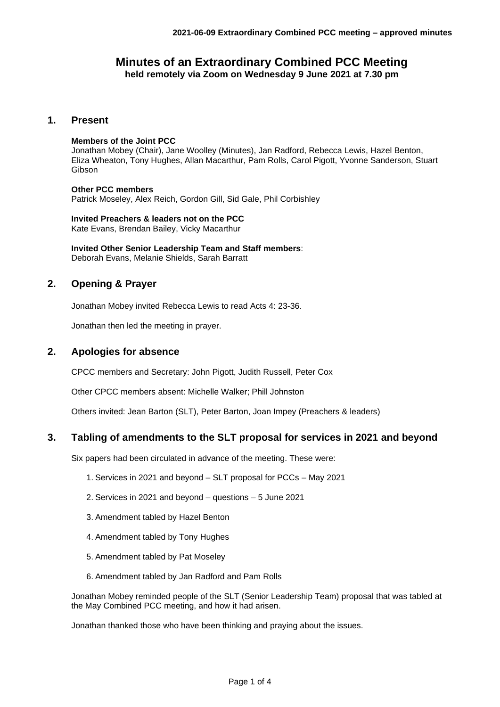# **Minutes of an Extraordinary Combined PCC Meeting held remotely via Zoom on Wednesday 9 June 2021 at 7.30 pm**

## **1. Present**

### **Members of the Joint PCC**

Jonathan Mobey (Chair), Jane Woolley (Minutes), Jan Radford, Rebecca Lewis, Hazel Benton, Eliza Wheaton, Tony Hughes, Allan Macarthur, Pam Rolls, Carol Pigott, Yvonne Sanderson, Stuart Gibson

#### **Other PCC members**

Patrick Moseley, Alex Reich, Gordon Gill, Sid Gale, Phil Corbishley

**Invited Preachers & leaders not on the PCC** Kate Evans, Brendan Bailey, Vicky Macarthur

**Invited Other Senior Leadership Team and Staff members**: Deborah Evans, Melanie Shields, Sarah Barratt

# **2. Opening & Prayer**

Jonathan Mobey invited Rebecca Lewis to read Acts 4: 23-36.

Jonathan then led the meeting in prayer.

# **2. Apologies for absence**

CPCC members and Secretary: John Pigott, Judith Russell, Peter Cox

Other CPCC members absent: Michelle Walker; Phill Johnston

Others invited: Jean Barton (SLT), Peter Barton, Joan Impey (Preachers & leaders)

### **3. Tabling of amendments to the SLT proposal for services in 2021 and beyond**

Six papers had been circulated in advance of the meeting. These were:

- 1. Services in 2021 and beyond SLT proposal for PCCs May 2021
- 2. Services in 2021 and beyond questions 5 June 2021
- 3. Amendment tabled by Hazel Benton
- 4. Amendment tabled by Tony Hughes
- 5. Amendment tabled by Pat Moseley
- 6. Amendment tabled by Jan Radford and Pam Rolls

Jonathan Mobey reminded people of the SLT (Senior Leadership Team) proposal that was tabled at the May Combined PCC meeting, and how it had arisen.

Jonathan thanked those who have been thinking and praying about the issues.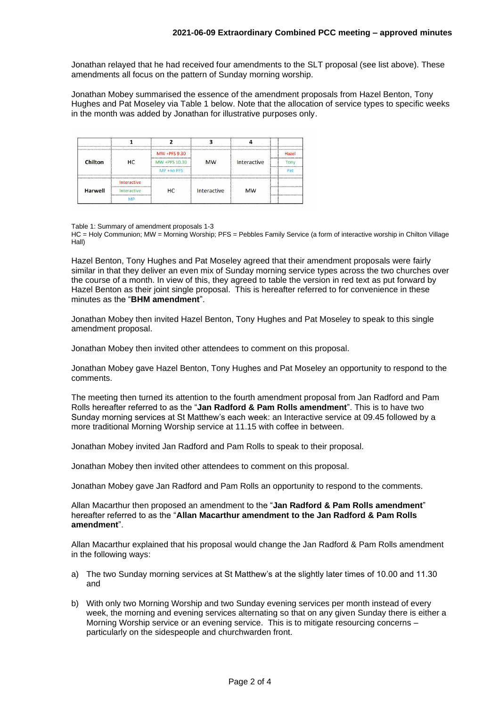Jonathan relayed that he had received four amendments to the SLT proposal (see list above). These amendments all focus on the pattern of Sunday morning worship.

Jonathan Mobey summarised the essence of the amendment proposals from Hazel Benton, Tony Hughes and Pat Moseley via Table 1 below. Note that the allocation of service types to specific weeks in the month was added by Jonathan for illustrative purposes only.

|                                                                                  |                                                                         |               |             | *************** | 2.              |                                                                                                                                                                                                                                            |
|----------------------------------------------------------------------------------|-------------------------------------------------------------------------|---------------|-------------|-----------------|-----------------|--------------------------------------------------------------------------------------------------------------------------------------------------------------------------------------------------------------------------------------------|
| <b><i><u>Responsible Companies Companies Companies</u></i></b><br><b>Chilton</b> | нc                                                                      | MW +PFS 9.30  | <b>MW</b>   | Interactive     |                 | Hazel<br>-------------------------------------                                                                                                                                                                                             |
|                                                                                  |                                                                         | MW +PFS 10.30 |             |                 | 1. <del>.</del> |                                                                                                                                                                                                                                            |
|                                                                                  |                                                                         | MP +no PFS    |             |                 |                 | Pat                                                                                                                                                                                                                                        |
| <b>Harwell</b>                                                                   | Interactive                                                             | нc            | Interactive | <b>MW</b>       |                 | <b><i>CONTINUES IN A REPORT OF A REPORT OF A REPORT OF A REPORT OF A REPORT OF A REPORT OF A REPORT OF A REPORT OF A REPORT OF A REPORT OF A REPORT OF A REPORT OF A REPORT OF A REPORT OF A REPORT OF A REPORT OF A REPORT OF A R</i></b> |
|                                                                                  | Interactive<br><u>Bandaran membang menyeran membang membang membang</u> |               |             |                 |                 | 5nonometronometronometronometro                                                                                                                                                                                                            |
|                                                                                  |                                                                         |               |             |                 |                 |                                                                                                                                                                                                                                            |

Table 1: Summary of amendment proposals 1-3

HC = Holy Communion; MW = Morning Worship; PFS = Pebbles Family Service (a form of interactive worship in Chilton Village Hall)

Hazel Benton, Tony Hughes and Pat Moseley agreed that their amendment proposals were fairly similar in that they deliver an even mix of Sunday morning service types across the two churches over the course of a month. In view of this, they agreed to table the version in red text as put forward by Hazel Benton as their joint single proposal. This is hereafter referred to for convenience in these minutes as the "**BHM amendment**".

Jonathan Mobey then invited Hazel Benton, Tony Hughes and Pat Moseley to speak to this single amendment proposal.

Jonathan Mobey then invited other attendees to comment on this proposal.

Jonathan Mobey gave Hazel Benton, Tony Hughes and Pat Moseley an opportunity to respond to the comments.

The meeting then turned its attention to the fourth amendment proposal from Jan Radford and Pam Rolls hereafter referred to as the "**Jan Radford & Pam Rolls amendment**". This is to have two Sunday morning services at St Matthew's each week: an Interactive service at 09.45 followed by a more traditional Morning Worship service at 11.15 with coffee in between.

Jonathan Mobey invited Jan Radford and Pam Rolls to speak to their proposal.

Jonathan Mobey then invited other attendees to comment on this proposal.

Jonathan Mobey gave Jan Radford and Pam Rolls an opportunity to respond to the comments.

Allan Macarthur then proposed an amendment to the "**Jan Radford & Pam Rolls amendment**" hereafter referred to as the "**Allan Macarthur amendment to the Jan Radford & Pam Rolls amendment**".

Allan Macarthur explained that his proposal would change the Jan Radford & Pam Rolls amendment in the following ways:

- a) The two Sunday morning services at St Matthew's at the slightly later times of 10.00 and 11.30 and
- b) With only two Morning Worship and two Sunday evening services per month instead of every week, the morning and evening services alternating so that on any given Sunday there is either a Morning Worship service or an evening service. This is to mitigate resourcing concerns – particularly on the sidespeople and churchwarden front.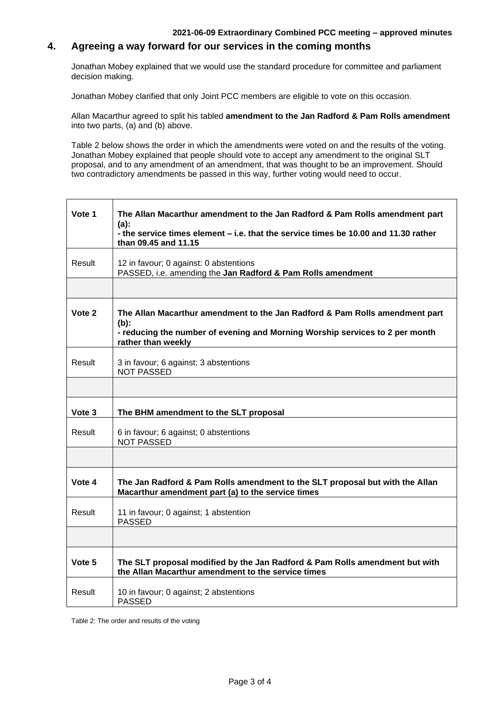### **2021-06-09 Extraordinary Combined PCC meeting – approved minutes**

# **4. Agreeing a way forward for our services in the coming months**

Jonathan Mobey explained that we would use the standard procedure for committee and parliament decision making.

Jonathan Mobey clarified that only Joint PCC members are eligible to vote on this occasion.

Allan Macarthur agreed to split his tabled **amendment to the Jan Radford & Pam Rolls amendment** into two parts, (a) and (b) above.

Table 2 below shows the order in which the amendments were voted on and the results of the voting. Jonathan Mobey explained that people should vote to accept any amendment to the original SLT proposal, and to any amendment of an amendment, that was thought to be an improvement. Should two contradictory amendments be passed in this way, further voting would need to occur.

| Vote 1 | The Allan Macarthur amendment to the Jan Radford & Pam Rolls amendment part<br>$(a)$ :<br>- the service times element - i.e. that the service times be 10.00 and 11.30 rather<br>than 09.45 and 11.15 |
|--------|-------------------------------------------------------------------------------------------------------------------------------------------------------------------------------------------------------|
| Result | 12 in favour; 0 against: 0 abstentions<br>PASSED, i.e. amending the Jan Radford & Pam Rolls amendment                                                                                                 |
|        |                                                                                                                                                                                                       |
| Vote 2 | The Allan Macarthur amendment to the Jan Radford & Pam Rolls amendment part<br>$(b)$ :<br>- reducing the number of evening and Morning Worship services to 2 per month<br>rather than weekly          |
| Result | 3 in favour; 6 against; 3 abstentions<br><b>NOT PASSED</b>                                                                                                                                            |
|        |                                                                                                                                                                                                       |
| Vote 3 | The BHM amendment to the SLT proposal                                                                                                                                                                 |
| Result | 6 in favour; 6 against; 0 abstentions<br><b>NOT PASSED</b>                                                                                                                                            |
|        |                                                                                                                                                                                                       |
| Vote 4 | The Jan Radford & Pam Rolls amendment to the SLT proposal but with the Allan<br>Macarthur amendment part (a) to the service times                                                                     |
| Result | 11 in favour; 0 against; 1 abstention<br><b>PASSED</b>                                                                                                                                                |
|        |                                                                                                                                                                                                       |
| Vote 5 | The SLT proposal modified by the Jan Radford & Pam Rolls amendment but with<br>the Allan Macarthur amendment to the service times                                                                     |
| Result | 10 in favour; 0 against; 2 abstentions<br><b>PASSED</b>                                                                                                                                               |

Table 2: The order and results of the voting